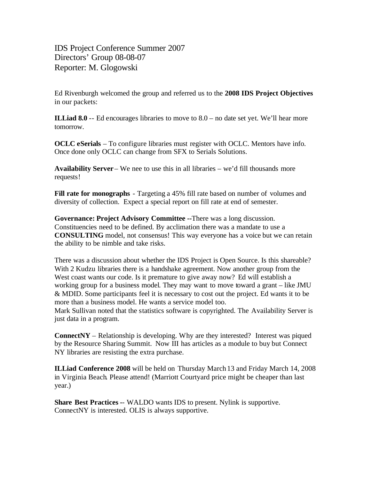IDS Project Conference Summer 2007 Directors' Group 08-08-07 Reporter: M. Glogowski

Ed Rivenburgh welcomed the group and referred us to the **2008 IDS Project Objectives** in our packets:

**ILLiad 8.0** -- Ed encourages libraries to move to 8.0 – no date set yet. We'll hear more tomorrow.

**OCLC eSerials** – To configure libraries must register with OCLC. Mentors have info. Once done only OCLC can change from SFX to Serials Solutions.

**Availability Server** – We nee to use this in all libraries – we'd fill thousands more requests!

**Fill rate for monographs** - Targeting a 45% fill rate based on number of volumes and diversity of collection. Expect a special report on fill rate at end of semester.

**Governance: Project Advisory Committee --**There was a long discussion. Constituencies need to be defined. By acclimation there was a mandate to use a **CONSULTING** model, not consensus! This way everyone has a voice but we can retain the ability to be nimble and take risks.

There was a discussion about whether the IDS Project is Open Source. Is this shareable? With 2 Kudzu libraries there is a handshake agreement. Now another group from the West coast wants our code. Is it premature to give away now? Ed will establish a working group for a business model. They may want to move toward a grant – like JMU & MDID. Some participants feel it is necessary to cost out the project. Ed wants it to be more than a business model. He wants a service model too.

Mark Sullivan noted that the statistics software is copyrighted. The Availability Server is just data in a program.

**ConnectNY** – Relationship is developing. Why are they interested? Interest was piqued by the Resource Sharing Summit. Now III has articles as a module to buy but Connect NY libraries are resisting the extra purchase.

**ILLiad Conference 2008** will be held on Thursday March 13 and Friday March 14, 2008 in Virginia Beach. Please attend! (Marriott Courtyard price might be cheaper than last year.)

**Share Best Practices -**- WALDO wants IDS to present. Nylink is supportive. ConnectNY is interested. OLIS is always supportive.